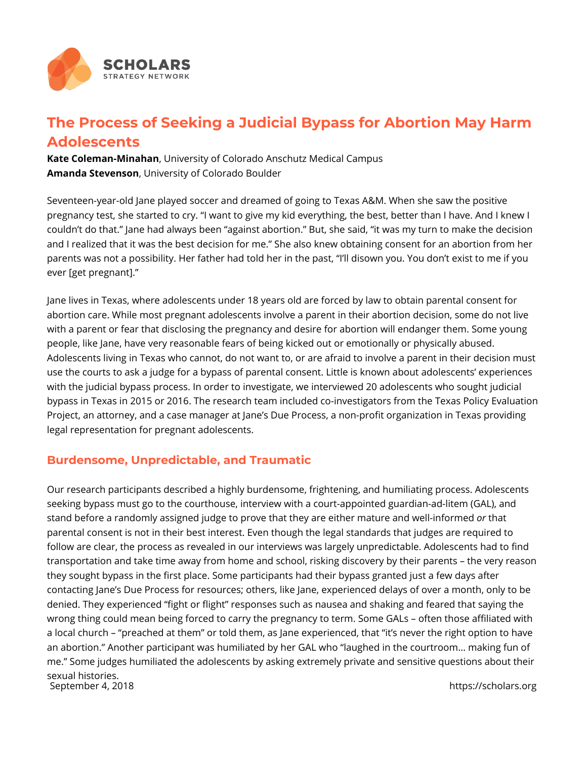

## **The Process of Seeking a Judicial Bypass for Abortion May Harm Adolescents**

**Kate Coleman-Minahan**, University of Colorado Anschutz Medical Campus **Amanda Stevenson**, University of Colorado Boulder

Seventeen-year-old Jane played soccer and dreamed of going to Texas A&M. When she saw the positive pregnancy test, she started to cry. "I want to give my kid everything, the best, better than I have. And I knew I couldn't do that." Jane had always been "against abortion." But, she said, "it was my turn to make the decision and I realized that it was the best decision for me." She also knew obtaining consent for an abortion from her parents was not a possibility. Her father had told her in the past, "I'll disown you. You don't exist to me if you ever [get pregnant]."

Jane lives in Texas, where adolescents under 18 years old are forced by law to obtain parental consent for abortion care. While most pregnant adolescents involve a parent in their abortion decision, some do not live with a parent or fear that disclosing the pregnancy and desire for abortion will endanger them. Some young people, like Jane, have very reasonable fears of being kicked out or emotionally or physically abused. Adolescents living in Texas who cannot, do not want to, or are afraid to involve a parent in their decision must use the courts to ask a judge for a bypass of parental consent. Little is known about adolescents' experiences with the judicial bypass process. In order to investigate, we interviewed 20 adolescents who sought judicial bypass in Texas in 2015 or 2016. The research team included co-investigators from the Texas Policy Evaluation Project, an attorney, and a case manager at Jane's Due Process, a non-profit organization in Texas providing legal representation for pregnant adolescents.

## **Burdensome, Unpredictable, and Traumatic**

Our research participants described a highly burdensome, frightening, and humiliating process. Adolescents seeking bypass must go to the courthouse, interview with a court-appointed guardian-ad-litem (GAL), and stand before a randomly assigned judge to prove that they are either mature and well-informed *or* that parental consent is not in their best interest. Even though the legal standards that judges are required to follow are clear, the process as revealed in our interviews was largely unpredictable. Adolescents had to find transportation and take time away from home and school, risking discovery by their parents – the very reason they sought bypass in the first place. Some participants had their bypass granted just a few days after contacting Jane's Due Process for resources; others, like Jane, experienced delays of over a month, only to be denied. They experienced "fight or flight" responses such as nausea and shaking and feared that saying the wrong thing could mean being forced to carry the pregnancy to term. Some GALs – often those affiliated with a local church – "preached at them" or told them, as Jane experienced, that "it's never the right option to have an abortion." Another participant was humiliated by her GAL who "laughed in the courtroom… making fun of me." Some judges humiliated the adolescents by asking extremely private and sensitive questions about their sexual histories. September 4, 2018 **September 4, 2018 https://scholars.org**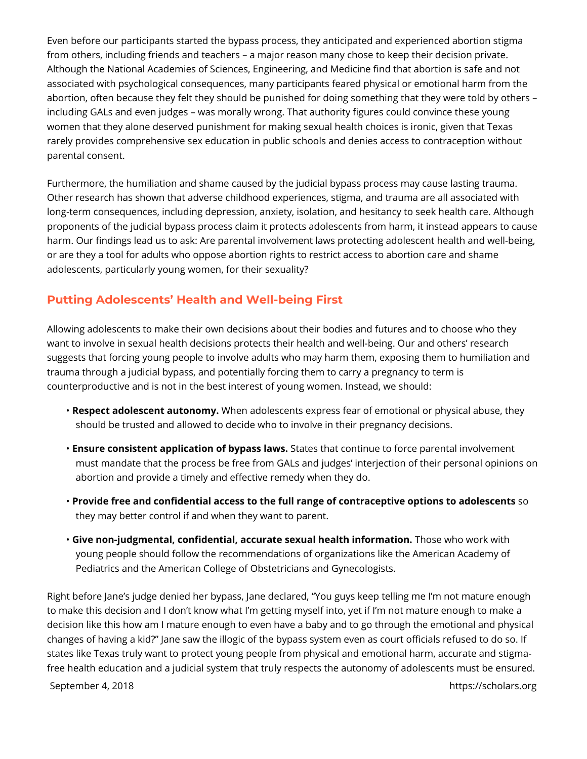Even before our participants started the bypass process, they anticipated and experienced abortion stigma from others, including friends and teachers – a major reason many chose to keep their decision private. Although the National Academies of Sciences, Engineering, and Medicine find that abortion is safe and not associated with psychological consequences, many participants feared physical or emotional harm from the abortion, often because they felt they should be punished for doing something that they were told by others – including GALs and even judges – was morally wrong. That authority figures could convince these young women that they alone deserved punishment for making sexual health choices is ironic, given that Texas rarely provides comprehensive sex education in public schools and denies access to contraception without parental consent.

Furthermore, the humiliation and shame caused by the judicial bypass process may cause lasting trauma. Other research has shown that adverse childhood experiences, stigma, and trauma are all associated with long-term consequences, including depression, anxiety, isolation, and hesitancy to seek health care. Although proponents of the judicial bypass process claim it protects adolescents from harm, it instead appears to cause harm. Our findings lead us to ask: Are parental involvement laws protecting adolescent health and well-being, or are they a tool for adults who oppose abortion rights to restrict access to abortion care and shame adolescents, particularly young women, for their sexuality?

## **Putting Adolescents' Health and Well-being First**

Allowing adolescents to make their own decisions about their bodies and futures and to choose who they want to involve in sexual health decisions protects their health and well-being. Our and others' research suggests that forcing young people to involve adults who may harm them, exposing them to humiliation and trauma through a judicial bypass, and potentially forcing them to carry a pregnancy to term is counterproductive and is not in the best interest of young women. Instead, we should:

- **Respect adolescent autonomy.** When adolescents express fear of emotional or physical abuse, they should be trusted and allowed to decide who to involve in their pregnancy decisions.
- **Ensure consistent application of bypass laws.** States that continue to force parental involvement must mandate that the process be free from GALs and judges' interjection of their personal opinions on abortion and provide a timely and effective remedy when they do.
- **Provide free and confidential access to the full range of contraceptive options to adolescents** so they may better control if and when they want to parent.
- **Give non-judgmental, confidential, accurate sexual health information.** Those who work with young people should follow the recommendations of organizations like the American Academy of Pediatrics and the American College of Obstetricians and Gynecologists.

Right before Jane's judge denied her bypass, Jane declared, "You guys keep telling me I'm not mature enough to make this decision and I don't know what I'm getting myself into, yet if I'm not mature enough to make a decision like this how am I mature enough to even have a baby and to go through the emotional and physical changes of having a kid?" Jane saw the illogic of the bypass system even as court officials refused to do so. If states like Texas truly want to protect young people from physical and emotional harm, accurate and stigmafree health education and a judicial system that truly respects the autonomy of adolescents must be ensured.

September 4, 2018 **September 4, 2018 https://scholars.org**